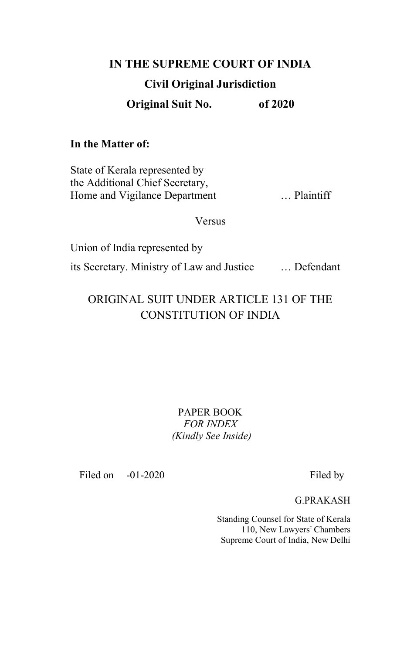# **IN THE SUPREME COURT OF INDIA Civil Original Jurisdiction**

**Original Suit No. of 2020**

## **In the Matter of:**

State of Kerala represented by the Additional Chief Secretary, Home and Vigilance Department ... Plaintiff

**Versus** 

Union of India represented by its Secretary. Ministry of Law and Justice … Defendant

## ORIGINAL SUIT UNDER ARTICLE 131 OF THE CONSTITUTION OF INDIA

PAPER BOOK *FOR INDEX (Kindly See Inside)*

Filed on  $-01-2020$  Filed by

G.PRAKASH

Standing Counsel for State of Kerala 110, New Lawyers" Chambers Supreme Court of India, New Delhi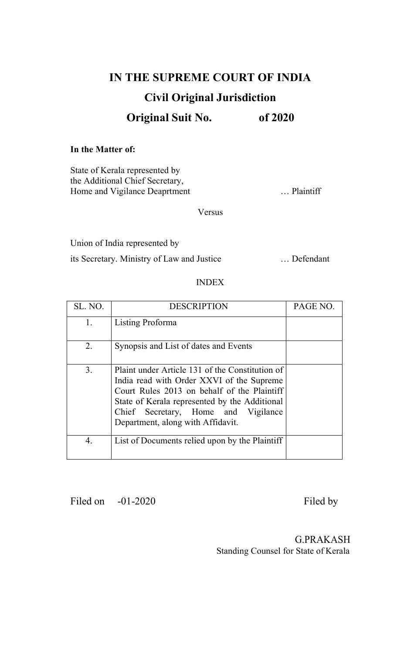# **IN THE SUPREME COURT OF INDIA Civil Original Jurisdiction**

## **Original Suit No. of 2020**

#### **In the Matter of:**

State of Kerala represented by the Additional Chief Secretary, Home and Vigilance Deaprtment ... Plaintiff

Versus

Union of India represented by

its Secretary. Ministry of Law and Justice … Defendant

#### INDEX

| SL. NO.        | <b>DESCRIPTION</b>                                                                                                                                                                                                                                                       | PAGE NO. |
|----------------|--------------------------------------------------------------------------------------------------------------------------------------------------------------------------------------------------------------------------------------------------------------------------|----------|
| 1.             | Listing Proforma                                                                                                                                                                                                                                                         |          |
| 2.             | Synopsis and List of dates and Events                                                                                                                                                                                                                                    |          |
| 3 <sub>1</sub> | Plaint under Article 131 of the Constitution of<br>India read with Order XXVI of the Supreme<br>Court Rules 2013 on behalf of the Plaintiff<br>State of Kerala represented by the Additional<br>Chief Secretary, Home and Vigilance<br>Department, along with Affidavit. |          |
| 4.             | List of Documents relied upon by the Plaintiff                                                                                                                                                                                                                           |          |

Filed on -01-2020 Filed by

G.PRAKASH Standing Counsel for State of Kerala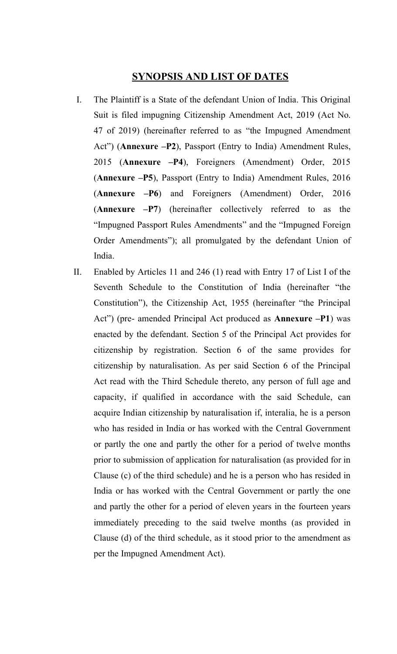### **SYNOPSIS AND LIST OF DATES**

- I. The Plaintiff is a State of the defendant Union of India. This Original Suit is filed impugning Citizenship Amendment Act, 2019 (Act No. 47 of 2019) (hereinafter referred to as "the Impugned Amendment Act") (**Annexure –P2**), Passport (Entry to India) Amendment Rules, 2015 (**Annexure –P4**), Foreigners (Amendment) Order, 2015 (**Annexure –P5**), Passport (Entry to India) Amendment Rules, 2016 (**Annexure –P6**) and Foreigners (Amendment) Order, 2016 (**Annexure –P7**) (hereinafter collectively referred to as the "Impugned Passport Rules Amendments" and the "Impugned Foreign Order Amendments"); all promulgated by the defendant Union of India.
- II. Enabled by Articles 11 and 246 (1) read with Entry 17 of List I of the Seventh Schedule to the Constitution of India (hereinafter "the Constitution"), the Citizenship Act, 1955 (hereinafter "the Principal Act") (pre- amended Principal Act produced as **Annexure –P1**) was enacted by the defendant. Section 5 of the Principal Act provides for citizenship by registration. Section 6 of the same provides for citizenship by naturalisation. As per said Section 6 of the Principal Act read with the Third Schedule thereto, any person of full age and capacity, if qualified in accordance with the said Schedule, can acquire Indian citizenship by naturalisation if, interalia, he is a person who has resided in India or has worked with the Central Government or partly the one and partly the other for a period of twelve months prior to submission of application for naturalisation (as provided for in Clause (c) of the third schedule) and he is a person who has resided in India or has worked with the Central Government or partly the one and partly the other for a period of eleven years in the fourteen years immediately preceding to the said twelve months (as provided in Clause (d) of the third schedule, as it stood prior to the amendment as per the Impugned Amendment Act).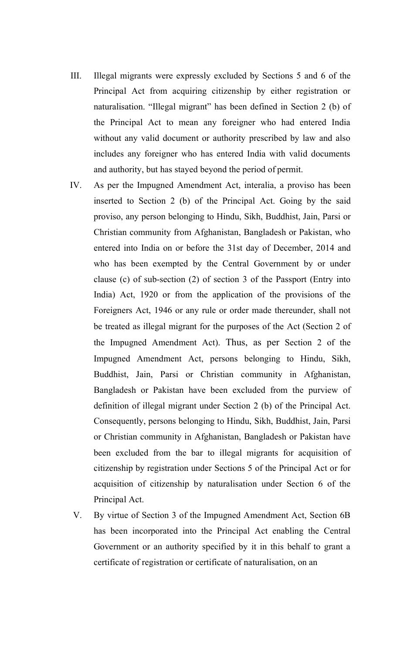- III. Illegal migrants were expressly excluded by Sections 5 and 6 of the Principal Act from acquiring citizenship by either registration or naturalisation. "Illegal migrant" has been defined in Section 2 (b) of the Principal Act to mean any foreigner who had entered India without any valid document or authority prescribed by law and also includes any foreigner who has entered India with valid documents and authority, but has stayed beyond the period of permit.
- IV. As per the Impugned Amendment Act, interalia, a proviso has been inserted to Section 2 (b) of the Principal Act. Going by the said proviso, any person belonging to Hindu, Sikh, Buddhist, Jain, Parsi or Christian community from Afghanistan, Bangladesh or Pakistan, who entered into India on or before the 31st day of December, 2014 and who has been exempted by the Central Government by or under clause (c) of sub-section (2) of section 3 of the Passport (Entry into India) Act, 1920 or from the application of the provisions of the Foreigners Act, 1946 or any rule or order made thereunder, shall not be treated as illegal migrant for the purposes of the Act (Section 2 of the Impugned Amendment Act). Thus, as per Section 2 of the Impugned Amendment Act, persons belonging to Hindu, Sikh, Buddhist, Jain, Parsi or Christian community in Afghanistan, Bangladesh or Pakistan have been excluded from the purview of definition of illegal migrant under Section 2 (b) of the Principal Act. Consequently, persons belonging to Hindu, Sikh, Buddhist, Jain, Parsi or Christian community in Afghanistan, Bangladesh or Pakistan have been excluded from the bar to illegal migrants for acquisition of citizenship by registration under Sections 5 of the Principal Act or for acquisition of citizenship by naturalisation under Section 6 of the Principal Act.
- V. By virtue of Section 3 of the Impugned Amendment Act, Section 6B has been incorporated into the Principal Act enabling the Central Government or an authority specified by it in this behalf to grant a certificate of registration or certificate of naturalisation, on an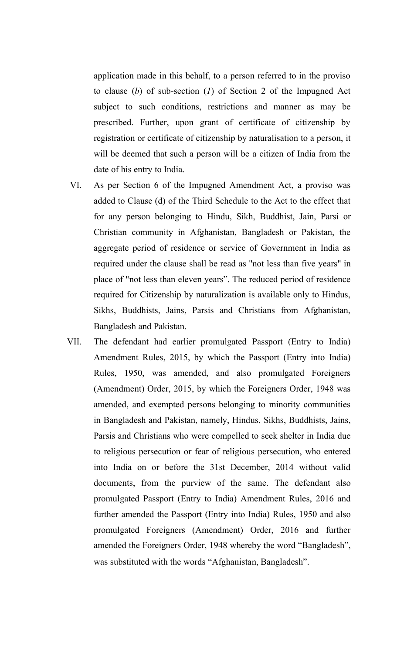application made in this behalf, to a person referred to in the proviso to clause (*b*) of sub-section (*1*) of Section 2 of the Impugned Act subject to such conditions, restrictions and manner as may be prescribed. Further, upon grant of certificate of citizenship by registration or certificate of citizenship by naturalisation to a person, it will be deemed that such a person will be a citizen of India from the date of his entry to India.

- VI. As per Section 6 of the Impugned Amendment Act, a proviso was added to Clause (d) of the Third Schedule to the Act to the effect that for any person belonging to Hindu, Sikh, Buddhist, Jain, Parsi or Christian community in Afghanistan, Bangladesh or Pakistan, the aggregate period of residence or service of Government in India as required under the clause shall be read as "not less than five years" in place of "not less than eleven years". The reduced period of residence required for Citizenship by naturalization is available only to Hindus, Sikhs, Buddhists, Jains, Parsis and Christians from Afghanistan, Bangladesh and Pakistan.
- VII. The defendant had earlier promulgated Passport (Entry to India) Amendment Rules, 2015, by which the Passport (Entry into India) Rules, 1950, was amended, and also promulgated Foreigners (Amendment) Order, 2015, by which the Foreigners Order, 1948 was amended, and exempted persons belonging to minority communities in Bangladesh and Pakistan, namely, Hindus, Sikhs, Buddhists, Jains, Parsis and Christians who were compelled to seek shelter in India due to religious persecution or fear of religious persecution, who entered into India on or before the 31st December, 2014 without valid documents, from the purview of the same. The defendant also promulgated Passport (Entry to India) Amendment Rules, 2016 and further amended the Passport (Entry into India) Rules, 1950 and also promulgated Foreigners (Amendment) Order, 2016 and further amended the Foreigners Order, 1948 whereby the word "Bangladesh", was substituted with the words "Afghanistan, Bangladesh".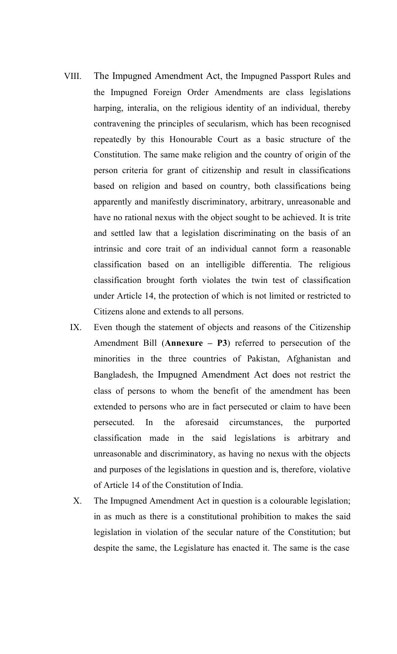- VIII. The Impugned Amendment Act, the Impugned Passport Rules and the Impugned Foreign Order Amendments are class legislations harping, interalia, on the religious identity of an individual, thereby contravening the principles of secularism, which has been recognised repeatedly by this Honourable Court as a basic structure of the Constitution. The same make religion and the country of origin of the person criteria for grant of citizenship and result in classifications based on religion and based on country, both classifications being apparently and manifestly discriminatory, arbitrary, unreasonable and have no rational nexus with the object sought to be achieved. It is trite and settled law that a legislation discriminating on the basis of an intrinsic and core trait of an individual cannot form a reasonable classification based on an intelligible differentia. The religious classification brought forth violates the twin test of classification under Article 14, the protection of which is not limited or restricted to Citizens alone and extends to all persons.
	- IX. Even though the statement of objects and reasons of the Citizenship Amendment Bill (**Annexure – P3**) referred to persecution of the minorities in the three countries of Pakistan, Afghanistan and Bangladesh, the Impugned Amendment Act does not restrict the class of persons to whom the benefit of the amendment has been extended to persons who are in fact persecuted or claim to have been persecuted. In the aforesaid circumstances, the purported classification made in the said legislations is arbitrary and unreasonable and discriminatory, as having no nexus with the objects and purposes of the legislations in question and is, therefore, violative of Article 14 of the Constitution of India.
	- X. The Impugned Amendment Act in question is a colourable legislation; in as much as there is a constitutional prohibition to makes the said legislation in violation of the secular nature of the Constitution; but despite the same, the Legislature has enacted it. The same is the case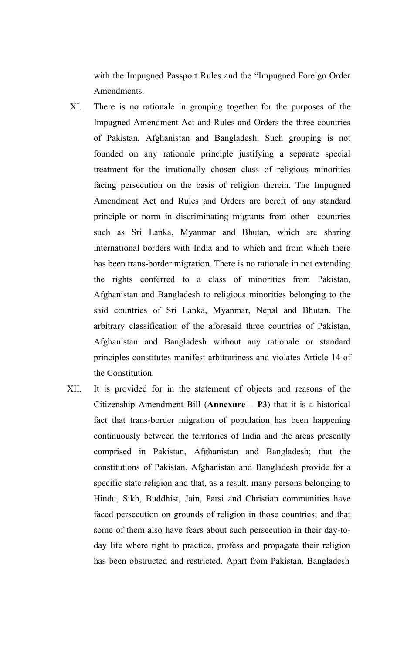with the Impugned Passport Rules and the "Impugned Foreign Order Amendments.

- XI. There is no rationale in grouping together for the purposes of the Impugned Amendment Act and Rules and Orders the three countries of Pakistan, Afghanistan and Bangladesh. Such grouping is not founded on any rationale principle justifying a separate special treatment for the irrationally chosen class of religious minorities facing persecution on the basis of religion therein. The Impugned Amendment Act and Rules and Orders are bereft of any standard principle or norm in discriminating migrants from other countries such as Sri Lanka, Myanmar and Bhutan, which are sharing international borders with India and to which and from which there has been trans-border migration. There is no rationale in not extending the rights conferred to a class of minorities from Pakistan, Afghanistan and Bangladesh to religious minorities belonging to the said countries of Sri Lanka, Myanmar, Nepal and Bhutan. The arbitrary classification of the aforesaid three countries of Pakistan, Afghanistan and Bangladesh without any rationale or standard principles constitutes manifest arbitrariness and violates Article 14 of the Constitution.
- XII. It is provided for in the statement of objects and reasons of the Citizenship Amendment Bill (**Annexure – P3**) that it is a historical fact that trans-border migration of population has been happening continuously between the territories of India and the areas presently comprised in Pakistan, Afghanistan and Bangladesh; that the constitutions of Pakistan, Afghanistan and Bangladesh provide for a specific state religion and that, as a result, many persons belonging to Hindu, Sikh, Buddhist, Jain, Parsi and Christian communities have faced persecution on grounds of religion in those countries; and that some of them also have fears about such persecution in their day-today life where right to practice, profess and propagate their religion has been obstructed and restricted. Apart from Pakistan, Bangladesh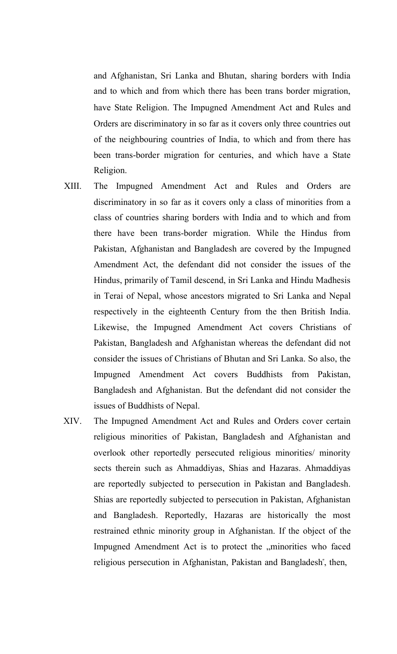and Afghanistan, Sri Lanka and Bhutan, sharing borders with India and to which and from which there has been trans border migration, have State Religion. The Impugned Amendment Act and Rules and Orders are discriminatory in so far as it covers only three countries out of the neighbouring countries of India, to which and from there has been trans-border migration for centuries, and which have a State Religion.

- XIII. The Impugned Amendment Act and Rules and Orders are discriminatory in so far as it covers only a class of minorities from a class of countries sharing borders with India and to which and from there have been trans-border migration. While the Hindus from Pakistan, Afghanistan and Bangladesh are covered by the Impugned Amendment Act, the defendant did not consider the issues of the Hindus, primarily of Tamil descend, in Sri Lanka and Hindu Madhesis in Terai of Nepal, whose ancestors migrated to Sri Lanka and Nepal respectively in the eighteenth Century from the then British India. Likewise, the Impugned Amendment Act covers Christians of Pakistan, Bangladesh and Afghanistan whereas the defendant did not consider the issues of Christians of Bhutan and Sri Lanka. So also, the Impugned Amendment Act covers Buddhists from Pakistan, Bangladesh and Afghanistan. But the defendant did not consider the issues of Buddhists of Nepal.
- XIV. The Impugned Amendment Act and Rules and Orders cover certain religious minorities of Pakistan, Bangladesh and Afghanistan and overlook other reportedly persecuted religious minorities/ minority sects therein such as Ahmaddiyas, Shias and Hazaras. Ahmaddiyas are reportedly subjected to persecution in Pakistan and Bangladesh. Shias are reportedly subjected to persecution in Pakistan, Afghanistan and Bangladesh. Reportedly, Hazaras are historically the most restrained ethnic minority group in Afghanistan. If the object of the Impugned Amendment Act is to protect the "minorities who faced religious persecution in Afghanistan, Pakistan and Bangladesh", then,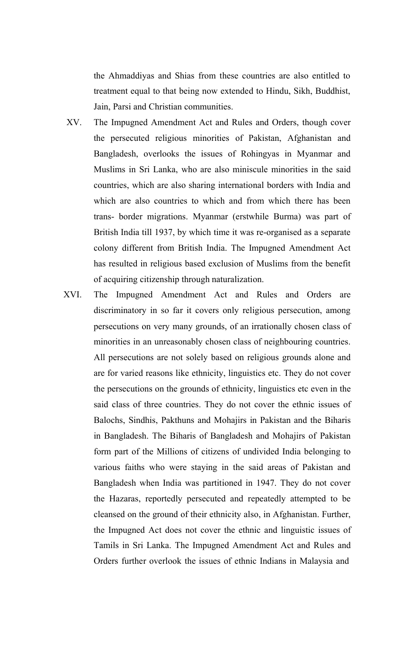the Ahmaddiyas and Shias from these countries are also entitled to treatment equal to that being now extended to Hindu, Sikh, Buddhist, Jain, Parsi and Christian communities.

- XV. The Impugned Amendment Act and Rules and Orders, though cover the persecuted religious minorities of Pakistan, Afghanistan and Bangladesh, overlooks the issues of Rohingyas in Myanmar and Muslims in Sri Lanka, who are also miniscule minorities in the said countries, which are also sharing international borders with India and which are also countries to which and from which there has been trans- border migrations. Myanmar (erstwhile Burma) was part of British India till 1937, by which time it was re-organised as a separate colony different from British India. The Impugned Amendment Act has resulted in religious based exclusion of Muslims from the benefit of acquiring citizenship through naturalization.
- XVI. The Impugned Amendment Act and Rules and Orders are discriminatory in so far it covers only religious persecution, among persecutions on very many grounds, of an irrationally chosen class of minorities in an unreasonably chosen class of neighbouring countries. All persecutions are not solely based on religious grounds alone and are for varied reasons like ethnicity, linguistics etc. They do not cover the persecutions on the grounds of ethnicity, linguistics etc even in the said class of three countries. They do not cover the ethnic issues of Balochs, Sindhis, Pakthuns and Mohajirs in Pakistan and the Biharis in Bangladesh. The Biharis of Bangladesh and Mohajirs of Pakistan form part of the Millions of citizens of undivided India belonging to various faiths who were staying in the said areas of Pakistan and Bangladesh when India was partitioned in 1947. They do not cover the Hazaras, reportedly persecuted and repeatedly attempted to be cleansed on the ground of their ethnicity also, in Afghanistan. Further, the Impugned Act does not cover the ethnic and linguistic issues of Tamils in Sri Lanka. The Impugned Amendment Act and Rules and Orders further overlook the issues of ethnic Indians in Malaysia and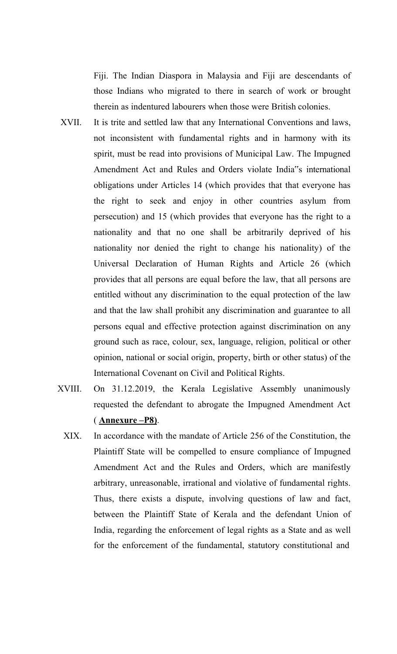Fiji. The Indian Diaspora in Malaysia and Fiji are descendants of those Indians who migrated to there in search of work or brought therein as indentured labourers when those were British colonies.

- XVII. It is trite and settled law that any International Conventions and laws, not inconsistent with fundamental rights and in harmony with its spirit, must be read into provisions of Municipal Law. The Impugned Amendment Act and Rules and Orders violate India"s international obligations under Articles 14 (which provides that that everyone has the right to seek and enjoy in other countries asylum from persecution) and 15 (which provides that everyone has the right to a nationality and that no one shall be arbitrarily deprived of his nationality nor denied the right to change his nationality) of the Universal Declaration of Human Rights and Article 26 (which provides that all persons are equal before the law, that all persons are entitled without any discrimination to the equal protection of the law and that the law shall prohibit any discrimination and guarantee to all persons equal and effective protection against discrimination on any ground such as race, colour, sex, language, religion, political or other opinion, national or social origin, property, birth or other status) of the International Covenant on Civil and Political Rights.
- XVIII. On 31.12.2019, the Kerala Legislative Assembly unanimously requested the defendant to abrogate the Impugned Amendment Act ( **Annexure –P8)**.
	- XIX. In accordance with the mandate of Article 256 of the Constitution, the Plaintiff State will be compelled to ensure compliance of Impugned Amendment Act and the Rules and Orders, which are manifestly arbitrary, unreasonable, irrational and violative of fundamental rights. Thus, there exists a dispute, involving questions of law and fact, between the Plaintiff State of Kerala and the defendant Union of India, regarding the enforcement of legal rights as a State and as well for the enforcement of the fundamental, statutory constitutional and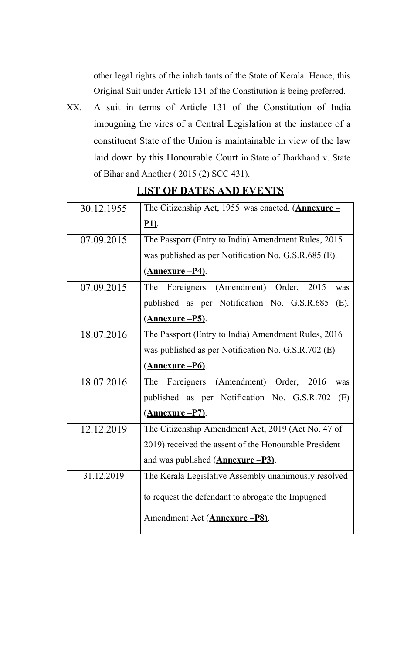other legal rights of the inhabitants of the State of Kerala. Hence, this Original Suit under Article 131 of the Constitution is being preferred.

XX. A suit in terms of Article 131 of the Constitution of India impugning the vires of a Central Legislation at the instance of a constituent State of the Union is maintainable in view of the law laid down by this Honourable Court in State of Jharkhand v. State of Bihar and Another ( 2015 (2) SCC 431).

| 30.12.1955 | The Citizenship Act, 1955 was enacted. $(Annexure -$      |
|------------|-----------------------------------------------------------|
|            | <u>P1)</u> .                                              |
| 07.09.2015 | The Passport (Entry to India) Amendment Rules, 2015       |
|            | was published as per Notification No. G.S.R.685 (E).      |
|            | <u>(Annexure – P4)</u> .                                  |
| 07.09.2015 | (Amendment)<br>Order,<br>The<br>Foreigners<br>2015<br>was |
|            | published as per Notification No. G.S.R.685<br>(E).       |
|            | <u>(Annexure –P5)</u> .                                   |
| 18.07.2016 | The Passport (Entry to India) Amendment Rules, 2016       |
|            | was published as per Notification No. G.S.R.702 (E)       |
|            | (Annexure -P6).                                           |
| 18.07.2016 | (Amendment) Order,<br>2016<br>The<br>Foreigners<br>was    |
|            | published as per Notification No. G.S.R.702<br>(E)        |
|            | <u>(Annexure –P7)</u> .                                   |
| 12.12.2019 | The Citizenship Amendment Act, 2019 (Act No. 47 of        |
|            | 2019) received the assent of the Honourable President     |
|            | and was published $(Annexure - P3)$ .                     |
| 31.12.2019 | The Kerala Legislative Assembly unanimously resolved      |
|            | to request the defendant to abrogate the Impugned         |
|            | Amendment Act (Annexure -P8).                             |

### **LIST OF DATES AND EVENTS**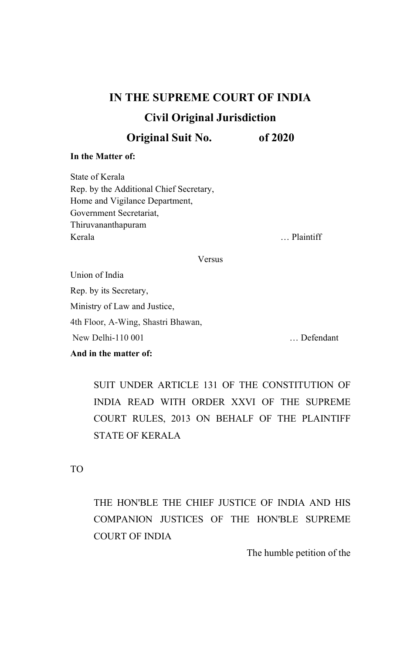### **IN THE SUPREME COURT OF INDIA**

### **Civil Original Jurisdiction**

**Original Suit No. of 2020**

#### **In the Matter of:**

State of Kerala Rep. by the Additional Chief Secretary, Home and Vigilance Department, Government Secretariat, Thiruvananthapuram Kerala … Plaintiff

Versus

Union of India Rep. by its Secretary, Ministry of Law and Justice, 4th Floor, A-Wing, Shastri Bhawan, New Delhi-110 001 … Defendant

#### **And in the matter of:**

SUIT UNDER ARTICLE 131 OF THE CONSTITUTION OF INDIA READ WITH ORDER XXVI OF THE SUPREME COURT RULES, 2013 ON BEHALF OF THE PLAINTIFF STATE OF KERALA

TO

THE HON'BLE THE CHIEF JUSTICE OF INDIA AND HIS COMPANION JUSTICES OF THE HON'BLE SUPREME COURT OF INDIA

The humble petition of the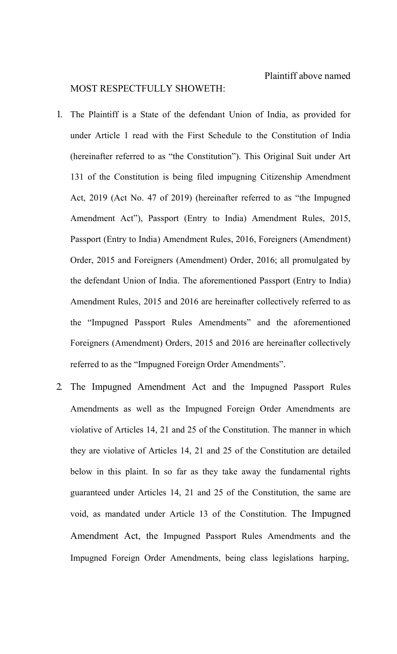#### MOST RESPECTFULLY SHOWETH:

- 1. The Plaintiff is a State of the defendant Union of India, as provided for under Article 1 read with the First Schedule to the Constitution of India (hereinafter referred to as "the Constitution"). This Original Suit under Art 131 of the Constitution is being filed impugning Citizenship Amendment Act, 2019 (Act No. 47 of 2019) (hereinafter referred to as "the Impugned Amendment Act"), Passport (Entry to India) Amendment Rules, 2015, Passport (Entry to India) Amendment Rules, 2016, Foreigners (Amendment) Order, 2015 and Foreigners (Amendment) Order, 2016; all promulgated by the defendant Union of India. The aforementioned Passport (Entry to India) Amendment Rules, 2015 and 2016 are hereinafter collectively referred to as the "Impugned Passport Rules Amendments" and the aforementioned Foreigners (Amendment) Orders, 2015 and 2016 are hereinafter collectively referred to as the "Impugned Foreign Order Amendments".
- 2. The Impugned Amendment Act and the Impugned Passport Rules Amendments as well as the Impugned Foreign Order Amendments are violative of Articles 14, 21 and 25 of the Constitution. The manner in which they are violative of Articles 14, 21 and 25 of the Constitution are detailed below in this plaint. In so far as they take away the fundamental rights guaranteed under Articles 14, 21 and 25 of the Constitution, the same are void, as mandated under Article 13 of the Constitution. The Impugned Amendment Act, the Impugned Passport Rules Amendments and the Impugned Foreign Order Amendments, being class legislations harping,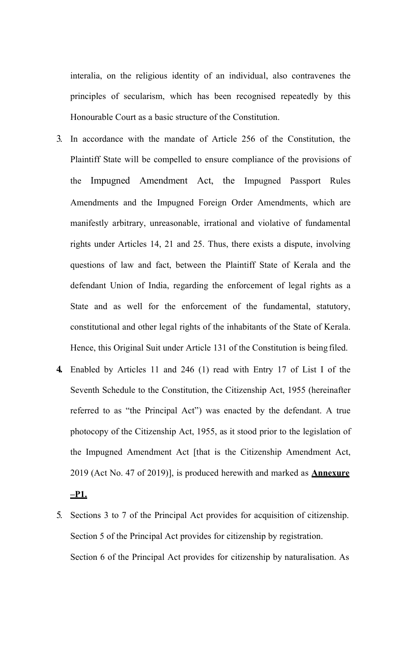interalia, on the religious identity of an individual, also contravenes the principles of secularism, which has been recognised repeatedly by this Honourable Court as a basic structure of the Constitution.

- 3. In accordance with the mandate of Article 256 of the Constitution, the Plaintiff State will be compelled to ensure compliance of the provisions of the Impugned Amendment Act, the Impugned Passport Rules Amendments and the Impugned Foreign Order Amendments, which are manifestly arbitrary, unreasonable, irrational and violative of fundamental rights under Articles 14, 21 and 25. Thus, there exists a dispute, involving questions of law and fact, between the Plaintiff State of Kerala and the defendant Union of India, regarding the enforcement of legal rights as a State and as well for the enforcement of the fundamental, statutory, constitutional and other legal rights of the inhabitants of the State of Kerala. Hence, this Original Suit under Article 131 of the Constitution is being filed.
- **4.** Enabled by Articles 11 and 246 (1) read with Entry 17 of List I of the Seventh Schedule to the Constitution, the Citizenship Act, 1955 (hereinafter referred to as "the Principal Act") was enacted by the defendant. A true photocopy of the Citizenship Act, 1955, as it stood prior to the legislation of the Impugned Amendment Act [that is the Citizenship Amendment Act, 2019 (Act No. 47 of 2019)], is produced herewith and marked as **Annexure –P1.**
- 5. Sections 3 to 7 of the Principal Act provides for acquisition of citizenship. Section 5 of the Principal Act provides for citizenship by registration. Section 6 of the Principal Act provides for citizenship by naturalisation. As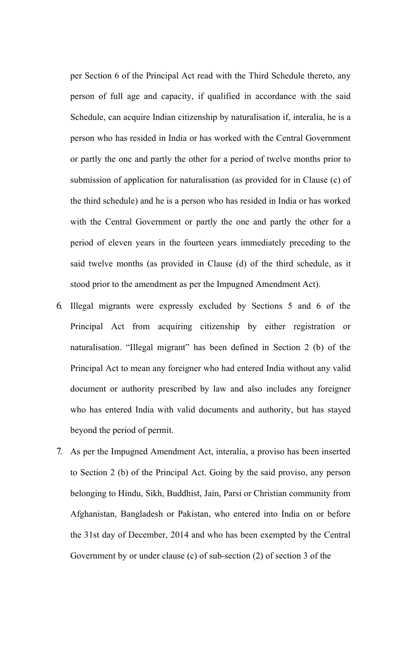per Section 6 of the Principal Act read with the Third Schedule thereto, any person of full age and capacity, if qualified in accordance with the said Schedule, can acquire Indian citizenship by naturalisation if, interalia, he is a person who has resided in India or has worked with the Central Government or partly the one and partly the other for a period of twelve months prior to submission of application for naturalisation (as provided for in Clause (c) of the third schedule) and he is a person who has resided in India or has worked with the Central Government or partly the one and partly the other for a period of eleven years in the fourteen years immediately preceding to the said twelve months (as provided in Clause (d) of the third schedule, as it stood prior to the amendment as per the Impugned Amendment Act).

- 6. Illegal migrants were expressly excluded by Sections 5 and 6 of the Principal Act from acquiring citizenship by either registration or naturalisation. "Illegal migrant" has been defined in Section 2 (b) of the Principal Act to mean any foreigner who had entered India without any valid document or authority prescribed by law and also includes any foreigner who has entered India with valid documents and authority, but has stayed beyond the period of permit.
- 7. As per the Impugned Amendment Act, interalia, a proviso has been inserted to Section 2 (b) of the Principal Act. Going by the said proviso, any person belonging to Hindu, Sikh, Buddhist, Jain, Parsi or Christian community from Afghanistan, Bangladesh or Pakistan, who entered into India on or before the 31st day of December, 2014 and who has been exempted by the Central Government by or under clause (c) of sub-section (2) of section 3 of the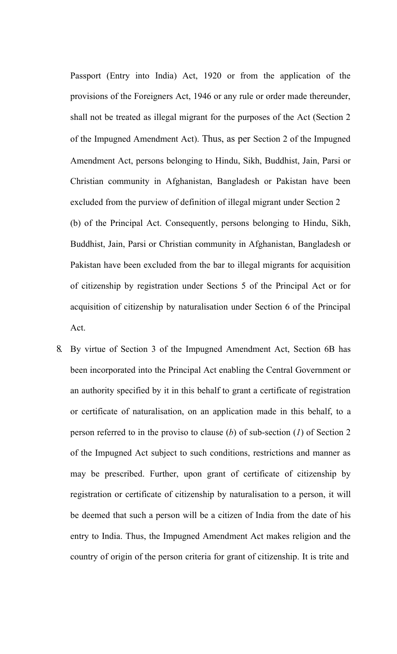Passport (Entry into India) Act, 1920 or from the application of the provisions of the Foreigners Act, 1946 or any rule or order made thereunder, shall not be treated as illegal migrant for the purposes of the Act (Section 2 of the Impugned Amendment Act). Thus, as per Section 2 of the Impugned Amendment Act, persons belonging to Hindu, Sikh, Buddhist, Jain, Parsi or Christian community in Afghanistan, Bangladesh or Pakistan have been excluded from the purview of definition of illegal migrant under Section 2 (b) of the Principal Act. Consequently, persons belonging to Hindu, Sikh, Buddhist, Jain, Parsi or Christian community in Afghanistan, Bangladesh or Pakistan have been excluded from the bar to illegal migrants for acquisition of citizenship by registration under Sections 5 of the Principal Act or for acquisition of citizenship by naturalisation under Section 6 of the Principal Act.

8. By virtue of Section 3 of the Impugned Amendment Act, Section 6B has been incorporated into the Principal Act enabling the Central Government or an authority specified by it in this behalf to grant a certificate of registration or certificate of naturalisation, on an application made in this behalf, to a person referred to in the proviso to clause (*b*) of sub-section (*1*) of Section 2 of the Impugned Act subject to such conditions, restrictions and manner as may be prescribed. Further, upon grant of certificate of citizenship by registration or certificate of citizenship by naturalisation to a person, it will be deemed that such a person will be a citizen of India from the date of his entry to India. Thus, the Impugned Amendment Act makes religion and the country of origin of the person criteria for grant of citizenship. It is trite and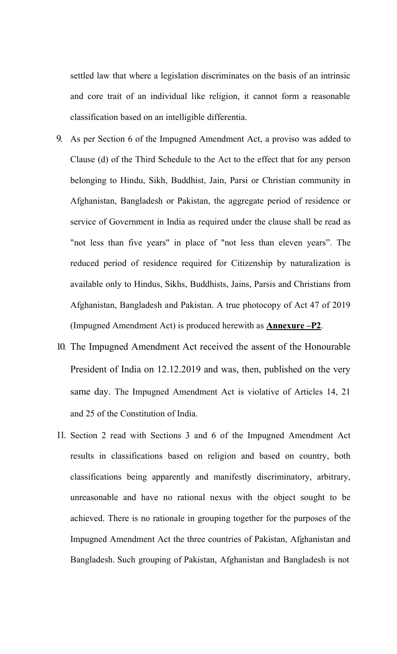settled law that where a legislation discriminates on the basis of an intrinsic and core trait of an individual like religion, it cannot form a reasonable classification based on an intelligible differentia.

- 9. As per Section 6 of the Impugned Amendment Act, a proviso was added to Clause (d) of the Third Schedule to the Act to the effect that for any person belonging to Hindu, Sikh, Buddhist, Jain, Parsi or Christian community in Afghanistan, Bangladesh or Pakistan, the aggregate period of residence or service of Government in India as required under the clause shall be read as "not less than five years" in place of "not less than eleven years". The reduced period of residence required for Citizenship by naturalization is available only to Hindus, Sikhs, Buddhists, Jains, Parsis and Christians from Afghanistan, Bangladesh and Pakistan. A true photocopy of Act 47 of 2019 (Impugned Amendment Act) is produced herewith as **Annexure –P2**.
- 10. The Impugned Amendment Act received the assent of the Honourable President of India on 12.12.2019 and was, then, published on the very same day. The Impugned Amendment Act is violative of Articles 14, 21 and 25 of the Constitution of India.
- 11. Section 2 read with Sections 3 and 6 of the Impugned Amendment Act results in classifications based on religion and based on country, both classifications being apparently and manifestly discriminatory, arbitrary, unreasonable and have no rational nexus with the object sought to be achieved. There is no rationale in grouping together for the purposes of the Impugned Amendment Act the three countries of Pakistan, Afghanistan and Bangladesh. Such grouping of Pakistan, Afghanistan and Bangladesh is not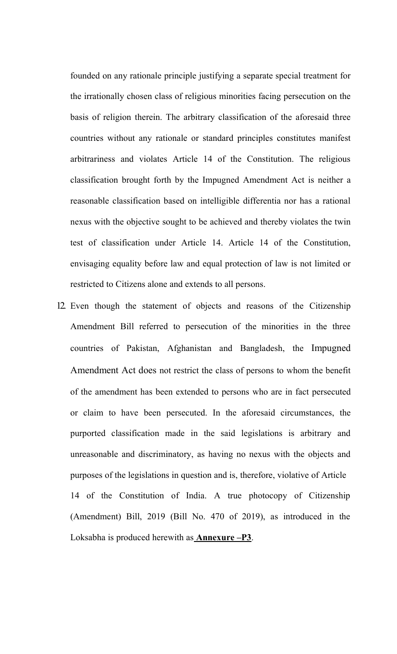founded on any rationale principle justifying a separate special treatment for the irrationally chosen class of religious minorities facing persecution on the basis of religion therein. The arbitrary classification of the aforesaid three countries without any rationale or standard principles constitutes manifest arbitrariness and violates Article 14 of the Constitution. The religious classification brought forth by the Impugned Amendment Act is neither a reasonable classification based on intelligible differentia nor has a rational nexus with the objective sought to be achieved and thereby violates the twin test of classification under Article 14. Article 14 of the Constitution, envisaging equality before law and equal protection of law is not limited or restricted to Citizens alone and extends to all persons.

12. Even though the statement of objects and reasons of the Citizenship Amendment Bill referred to persecution of the minorities in the three countries of Pakistan, Afghanistan and Bangladesh, the Impugned Amendment Act does not restrict the class of persons to whom the benefit of the amendment has been extended to persons who are in fact persecuted or claim to have been persecuted. In the aforesaid circumstances, the purported classification made in the said legislations is arbitrary and unreasonable and discriminatory, as having no nexus with the objects and purposes of the legislations in question and is, therefore, violative of Article 14 of the Constitution of India. A true photocopy of Citizenship (Amendment) Bill, 2019 (Bill No. 470 of 2019), as introduced in the Loksabha is produced herewith as **Annexure –P3**.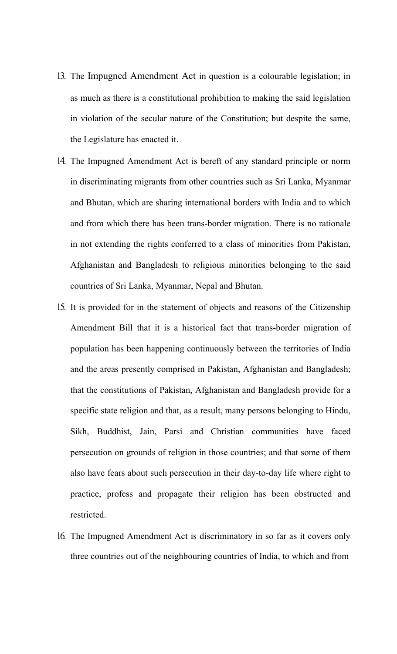- 13. The Impugned Amendment Act in question is a colourable legislation; in as much as there is a constitutional prohibition to making the said legislation in violation of the secular nature of the Constitution; but despite the same, the Legislature has enacted it.
- 14. The Impugned Amendment Act is bereft of any standard principle or norm in discriminating migrants from other countries such as Sri Lanka, Myanmar and Bhutan, which are sharing international borders with India and to which and from which there has been trans-border migration. There is no rationale in not extending the rights conferred to a class of minorities from Pakistan, Afghanistan and Bangladesh to religious minorities belonging to the said countries of Sri Lanka, Myanmar, Nepal and Bhutan.
- 15. It is provided for in the statement of objects and reasons of the Citizenship Amendment Bill that it is a historical fact that trans-border migration of population has been happening continuously between the territories of India and the areas presently comprised in Pakistan, Afghanistan and Bangladesh; that the constitutions of Pakistan, Afghanistan and Bangladesh provide for a specific state religion and that, as a result, many persons belonging to Hindu, Sikh, Buddhist, Jain, Parsi and Christian communities have faced persecution on grounds of religion in those countries; and that some of them also have fears about such persecution in their day-to-day life where right to practice, profess and propagate their religion has been obstructed and restricted.
- 16. The Impugned Amendment Act is discriminatory in so far as it covers only three countries out of the neighbouring countries of India, to which and from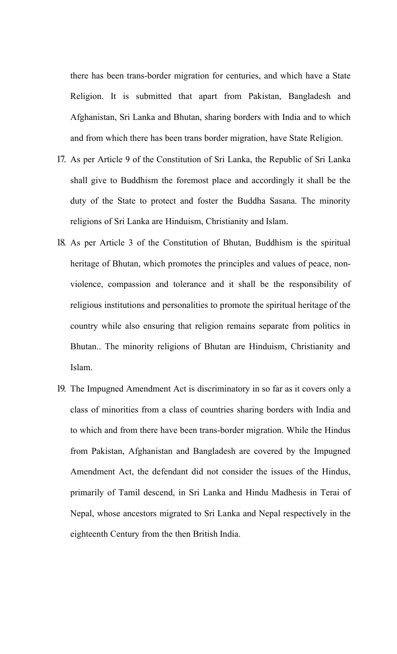there has been trans-border migration for centuries, and which have a State Religion. It is submitted that apart from Pakistan, Bangladesh and Afghanistan, Sri Lanka and Bhutan, sharing borders with India and to which and from which there has been trans border migration, have State Religion.

- 17. As per Article 9 of the Constitution of Sri Lanka, the Republic of Sri Lanka shall give to Buddhism the foremost place and accordingly it shall be the duty of the State to protect and foster the Buddha Sasana. The minority religions of Sri Lanka are Hinduism, Christianity and Islam.
- 18. As per Article 3 of the Constitution of Bhutan, Buddhism is the spiritual heritage of Bhutan, which promotes the principles and values of peace, nonviolence, compassion and tolerance and it shall be the responsibility of religious institutions and personalities to promote the spiritual heritage of the country while also ensuring that religion remains separate from politics in Bhutan.. The minority religions of Bhutan are Hinduism, Christianity and Islam.
- 19. The Impugned Amendment Act is discriminatory in so far as it covers only a class of minorities from a class of countries sharing borders with India and to which and from there have been trans-border migration. While the Hindus from Pakistan, Afghanistan and Bangladesh are covered by the Impugned Amendment Act, the defendant did not consider the issues of the Hindus, primarily of Tamil descend, in Sri Lanka and Hindu Madhesis in Terai of Nepal, whose ancestors migrated to Sri Lanka and Nepal respectively in the eighteenth Century from the then British India.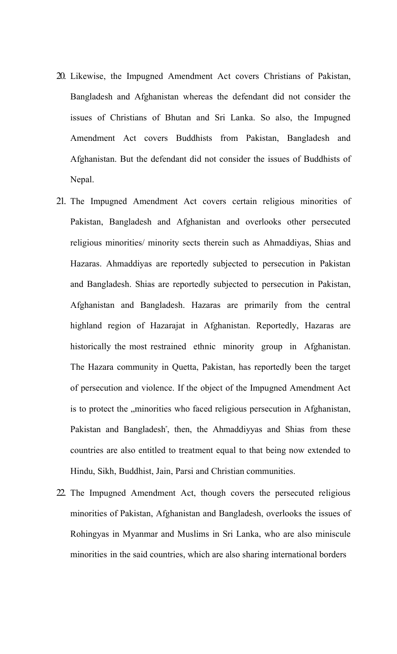- 20. Likewise, the Impugned Amendment Act covers Christians of Pakistan, Bangladesh and Afghanistan whereas the defendant did not consider the issues of Christians of Bhutan and Sri Lanka. So also, the Impugned Amendment Act covers Buddhists from Pakistan, Bangladesh and Afghanistan. But the defendant did not consider the issues of Buddhists of Nepal.
- 21. The Impugned Amendment Act covers certain religious minorities of Pakistan, Bangladesh and Afghanistan and overlooks other persecuted religious minorities/ minority sects therein such as Ahmaddiyas, Shias and Hazaras. Ahmaddiyas are reportedly subjected to persecution in Pakistan and Bangladesh. Shias are reportedly subjected to persecution in Pakistan, Afghanistan and Bangladesh. Hazaras are primarily from the central highland region of Hazarajat in Afghanistan. Reportedly, Hazaras are historically the most restrained ethnic minority group in Afghanistan. The Hazara community in Quetta, Pakistan, has reportedly been the target of persecution and violence. If the object of the Impugned Amendment Act is to protect the "minorities who faced religious persecution in Afghanistan, Pakistan and Bangladesh", then, the Ahmaddiyyas and Shias from these countries are also entitled to treatment equal to that being now extended to Hindu, Sikh, Buddhist, Jain, Parsi and Christian communities.
- 22. The Impugned Amendment Act, though covers the persecuted religious minorities of Pakistan, Afghanistan and Bangladesh, overlooks the issues of Rohingyas in Myanmar and Muslims in Sri Lanka, who are also miniscule minorities in the said countries, which are also sharing international borders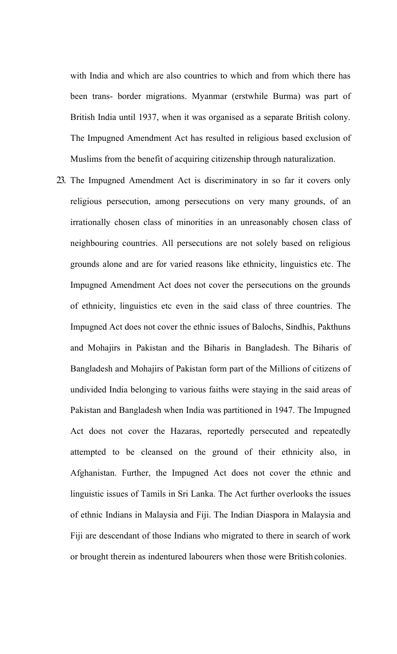with India and which are also countries to which and from which there has been trans- border migrations. Myanmar (erstwhile Burma) was part of British India until 1937, when it was organised as a separate British colony. The Impugned Amendment Act has resulted in religious based exclusion of Muslims from the benefit of acquiring citizenship through naturalization.

23. The Impugned Amendment Act is discriminatory in so far it covers only religious persecution, among persecutions on very many grounds, of an irrationally chosen class of minorities in an unreasonably chosen class of neighbouring countries. All persecutions are not solely based on religious grounds alone and are for varied reasons like ethnicity, linguistics etc. The Impugned Amendment Act does not cover the persecutions on the grounds of ethnicity, linguistics etc even in the said class of three countries. The Impugned Act does not cover the ethnic issues of Balochs, Sindhis, Pakthuns and Mohajirs in Pakistan and the Biharis in Bangladesh. The Biharis of Bangladesh and Mohajirs of Pakistan form part of the Millions of citizens of undivided India belonging to various faiths were staying in the said areas of Pakistan and Bangladesh when India was partitioned in 1947. The Impugned Act does not cover the Hazaras, reportedly persecuted and repeatedly attempted to be cleansed on the ground of their ethnicity also, in Afghanistan. Further, the Impugned Act does not cover the ethnic and linguistic issues of Tamils in Sri Lanka. The Act further overlooks the issues of ethnic Indians in Malaysia and Fiji. The Indian Diaspora in Malaysia and Fiji are descendant of those Indians who migrated to there in search of work or brought therein as indentured labourers when those were British colonies.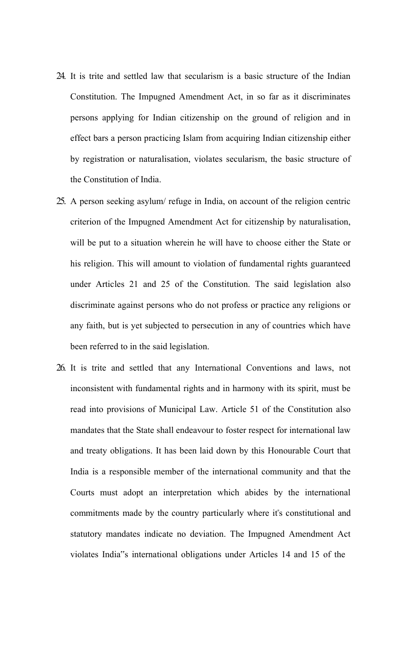- 24. It is trite and settled law that secularism is a basic structure of the Indian Constitution. The Impugned Amendment Act, in so far as it discriminates persons applying for Indian citizenship on the ground of religion and in effect bars a person practicing Islam from acquiring Indian citizenship either by registration or naturalisation, violates secularism, the basic structure of the Constitution of India.
- 25. A person seeking asylum/ refuge in India, on account of the religion centric criterion of the Impugned Amendment Act for citizenship by naturalisation, will be put to a situation wherein he will have to choose either the State or his religion. This will amount to violation of fundamental rights guaranteed under Articles 21 and 25 of the Constitution. The said legislation also discriminate against persons who do not profess or practice any religions or any faith, but is yet subjected to persecution in any of countries which have been referred to in the said legislation.
- 26. It is trite and settled that any International Conventions and laws, not inconsistent with fundamental rights and in harmony with its spirit, must be read into provisions of Municipal Law. Article 51 of the Constitution also mandates that the State shall endeavour to foster respect for international law and treaty obligations. It has been laid down by this Honourable Court that India is a responsible member of the international community and that the Courts must adopt an interpretation which abides by the international commitments made by the country particularly where it"s constitutional and statutory mandates indicate no deviation. The Impugned Amendment Act violates India"s international obligations under Articles 14 and 15 of the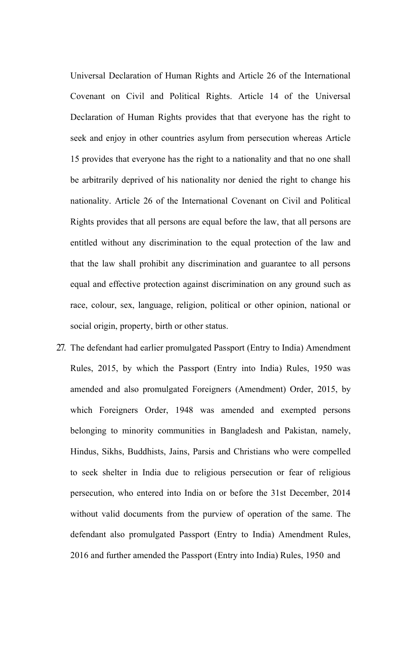Universal Declaration of Human Rights and Article 26 of the International Covenant on Civil and Political Rights. Article 14 of the Universal Declaration of Human Rights provides that that everyone has the right to seek and enjoy in other countries asylum from persecution whereas Article 15 provides that everyone has the right to a nationality and that no one shall be arbitrarily deprived of his nationality nor denied the right to change his nationality. Article 26 of the International Covenant on Civil and Political Rights provides that all persons are equal before the law, that all persons are entitled without any discrimination to the equal protection of the law and that the law shall prohibit any discrimination and guarantee to all persons equal and effective protection against discrimination on any ground such as race, colour, sex, language, religion, political or other opinion, national or social origin, property, birth or other status.

27. The defendant had earlier promulgated Passport (Entry to India) Amendment Rules, 2015, by which the Passport (Entry into India) Rules, 1950 was amended and also promulgated Foreigners (Amendment) Order, 2015, by which Foreigners Order, 1948 was amended and exempted persons belonging to minority communities in Bangladesh and Pakistan, namely, Hindus, Sikhs, Buddhists, Jains, Parsis and Christians who were compelled to seek shelter in India due to religious persecution or fear of religious persecution, who entered into India on or before the 31st December, 2014 without valid documents from the purview of operation of the same. The defendant also promulgated Passport (Entry to India) Amendment Rules, 2016 and further amended the Passport (Entry into India) Rules, 1950 and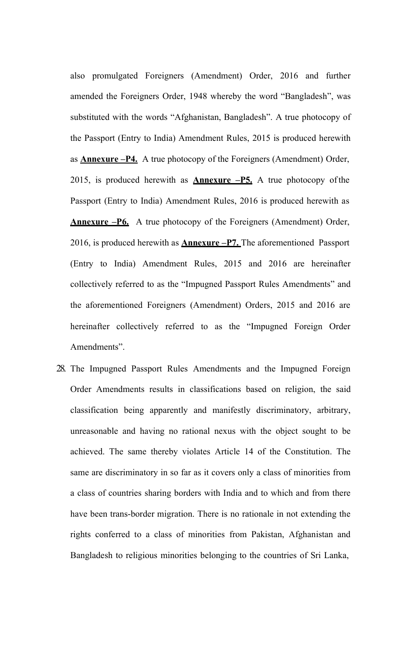also promulgated Foreigners (Amendment) Order, 2016 and further amended the Foreigners Order, 1948 whereby the word "Bangladesh", was substituted with the words "Afghanistan, Bangladesh". A true photocopy of the Passport (Entry to India) Amendment Rules, 2015 is produced herewith as **Annexure –P4.** A true photocopy of the Foreigners (Amendment) Order, 2015, is produced herewith as **Annexure –P5.** A true photocopy ofthe Passport (Entry to India) Amendment Rules, 2016 is produced herewith as **Annexure –P6.** A true photocopy of the Foreigners (Amendment) Order, 2016, is produced herewith as **Annexure –P7.** The aforementioned Passport (Entry to India) Amendment Rules, 2015 and 2016 are hereinafter collectively referred to as the "Impugned Passport Rules Amendments" and the aforementioned Foreigners (Amendment) Orders, 2015 and 2016 are hereinafter collectively referred to as the "Impugned Foreign Order Amendments".

28. The Impugned Passport Rules Amendments and the Impugned Foreign Order Amendments results in classifications based on religion, the said classification being apparently and manifestly discriminatory, arbitrary, unreasonable and having no rational nexus with the object sought to be achieved. The same thereby violates Article 14 of the Constitution. The same are discriminatory in so far as it covers only a class of minorities from a class of countries sharing borders with India and to which and from there have been trans-border migration. There is no rationale in not extending the rights conferred to a class of minorities from Pakistan, Afghanistan and Bangladesh to religious minorities belonging to the countries of Sri Lanka,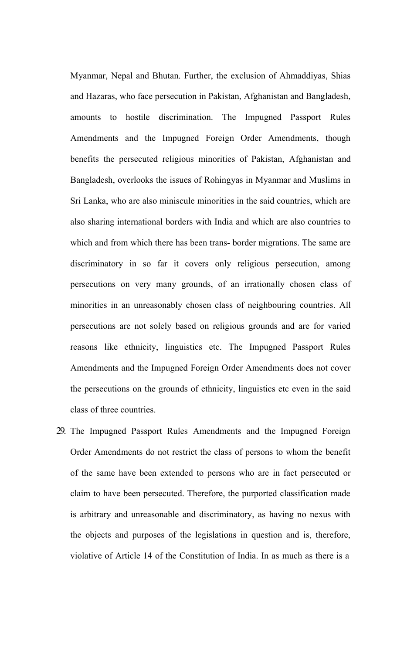Myanmar, Nepal and Bhutan. Further, the exclusion of Ahmaddiyas, Shias and Hazaras, who face persecution in Pakistan, Afghanistan and Bangladesh, amounts to hostile discrimination. The Impugned Passport Rules Amendments and the Impugned Foreign Order Amendments, though benefits the persecuted religious minorities of Pakistan, Afghanistan and Bangladesh, overlooks the issues of Rohingyas in Myanmar and Muslims in Sri Lanka, who are also miniscule minorities in the said countries, which are also sharing international borders with India and which are also countries to which and from which there has been trans- border migrations. The same are discriminatory in so far it covers only religious persecution, among persecutions on very many grounds, of an irrationally chosen class of minorities in an unreasonably chosen class of neighbouring countries. All persecutions are not solely based on religious grounds and are for varied reasons like ethnicity, linguistics etc. The Impugned Passport Rules Amendments and the Impugned Foreign Order Amendments does not cover the persecutions on the grounds of ethnicity, linguistics etc even in the said class of three countries.

29. The Impugned Passport Rules Amendments and the Impugned Foreign Order Amendments do not restrict the class of persons to whom the benefit of the same have been extended to persons who are in fact persecuted or claim to have been persecuted. Therefore, the purported classification made is arbitrary and unreasonable and discriminatory, as having no nexus with the objects and purposes of the legislations in question and is, therefore, violative of Article 14 of the Constitution of India. In as much as there is a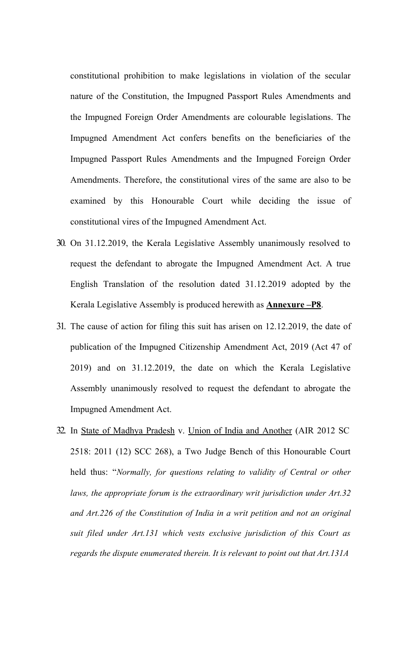constitutional prohibition to make legislations in violation of the secular nature of the Constitution, the Impugned Passport Rules Amendments and the Impugned Foreign Order Amendments are colourable legislations. The Impugned Amendment Act confers benefits on the beneficiaries of the Impugned Passport Rules Amendments and the Impugned Foreign Order Amendments. Therefore, the constitutional vires of the same are also to be examined by this Honourable Court while deciding the issue of constitutional vires of the Impugned Amendment Act.

- 30. On 31.12.2019, the Kerala Legislative Assembly unanimously resolved to request the defendant to abrogate the Impugned Amendment Act. A true English Translation of the resolution dated 31.12.2019 adopted by the Kerala Legislative Assembly is produced herewith as **Annexure –P8**.
- 31. The cause of action for filing this suit has arisen on 12.12.2019, the date of publication of the Impugned Citizenship Amendment Act, 2019 (Act 47 of 2019) and on 31.12.2019, the date on which the Kerala Legislative Assembly unanimously resolved to request the defendant to abrogate the Impugned Amendment Act.
- 32. In State of Madhya Pradesh v. Union of India and Another (AIR 2012 SC 2518: 2011 (12) SCC 268), a Two Judge Bench of this Honourable Court held thus: "*Normally, for questions relating to validity of Central or other laws, the appropriate forum is the extraordinary writ jurisdiction under Art.32 and Art.226 of the Constitution of India in a writ petition and not an original suit filed under Art.131 which vests exclusive jurisdiction of this Court as regards the dispute enumerated therein. It is relevant to point out that Art.131A*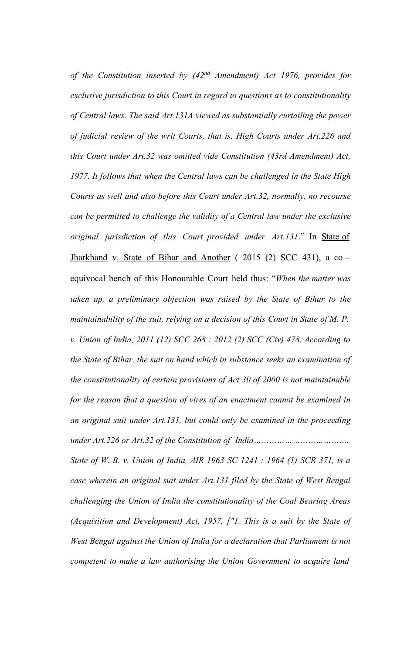*of the Constitution inserted by (42nd Amendment) Act 1976, provides for exclusive jurisdiction to this Court in regard to questions as to constitutionality of Central laws. The said Art.131A viewed as substantially curtailing the power of judicial review of the writ Courts, that is, High Courts under Art.226 and this Court under Art.32 was omitted vide Constitution (43rd Amendment) Act, 1977. It follows that when the Central laws can be challenged in the State High Courts as well and also before this Court under Art.32, normally, no recourse can be permitted to challenge the validity of a Central law under the exclusive original jurisdiction of this Court provided under Art.131*." In State of Jharkhand v. State of Bihar and Another ( 2015 (2) SCC 431), a co – equivocal bench of this Honourable Court held thus: "*When the matter was taken up, a preliminary objection was raised by the State of Bihar to the maintainability of the suit, relying on a decision of this Court in State of M. P. v. Union of India, 2011 (12) SCC 268 : 2012 (2) SCC (Civ) 478. According to the State of Bihar, the suit on hand which in substance seeks an examination of the constitutionality of certain provisions of Act 30 of 2000 is not maintainable for the reason that a question of vires of an enactment cannot be examined in an original suit under Art.131, but could only be examined in the proceeding under Art.226 or Art.32 of the Constitution of India………………………………. State of W. B. v. Union of India, AIR 1963 SC 1241 : 1964 (1) SCR 371, is a case wherein an original suit under Art.131 filed by the State of West Bengal challenging the Union of India the constitutionality of the Coal Bearing Areas (Acquisition and Development) Act, 1957, ["1. This is a suit by the State of*  West Bengal against the Union of India for a declaration that Parliament is not *competent to make a law authorising the Union Government to acquire land*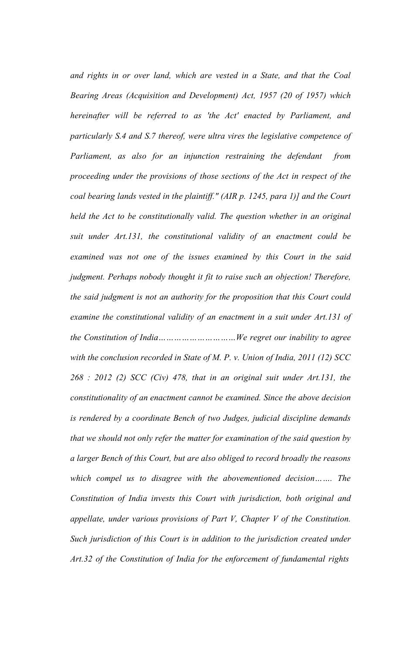*and rights in or over land, which are vested in a State, and that the Coal Bearing Areas (Acquisition and Development) Act, 1957 (20 of 1957) which hereinafter will be referred to as 'the Act' enacted by Parliament, and particularly S.4 and S.7 thereof, were ultra vires the legislative competence of Parliament, as also for an injunction restraining the defendant from proceeding under the provisions of those sections of the Act in respect of the coal bearing lands vested in the plaintiff." (AIR p. 1245, para 1)] and the Court held the Act to be constitutionally valid. The question whether in an original suit under Art.131, the constitutional validity of an enactment could be examined was not one of the issues examined by this Court in the said judgment. Perhaps nobody thought it fit to raise such an objection! Therefore, the said judgment is not an authority for the proposition that this Court could*  examine the constitutional validity of an enactment in a suit under Art.131 of *the Constitution of India…………………………We regret our inability to agree with the conclusion recorded in State of M. P. v. Union of India, 2011 (12) SCC 268 : 2012 (2) SCC (Civ) 478, that in an original suit under Art.131, the constitutionality of an enactment cannot be examined. Since the above decision is rendered by a coordinate Bench of two Judges, judicial discipline demands that we should not only refer the matter for examination of the said question by a larger Bench of this Court, but are also obliged to record broadly the reasons which compel us to disagree with the abovementioned decision……. The Constitution of India invests this Court with jurisdiction, both original and appellate, under various provisions of Part V, Chapter V of the Constitution. Such jurisdiction of this Court is in addition to the jurisdiction created under Art.32 of the Constitution of India for the enforcement of fundamental rights*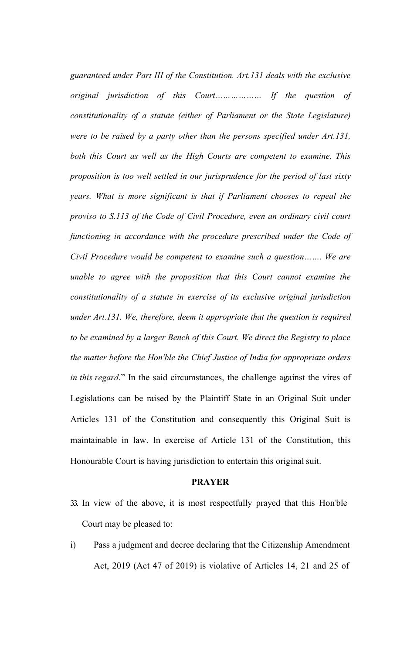*guaranteed under Part III of the Constitution. Art.131 deals with the exclusive original jurisdiction of this Court……………… If the question of constitutionality of a statute (either of Parliament or the State Legislature) were to be raised by a party other than the persons specified under Art.131, both this Court as well as the High Courts are competent to examine. This proposition is too well settled in our jurisprudence for the period of last sixty years. What is more significant is that if Parliament chooses to repeal the proviso to S.113 of the Code of Civil Procedure, even an ordinary civil court functioning in accordance with the procedure prescribed under the Code of Civil Procedure would be competent to examine such a question……. We are unable to agree with the proposition that this Court cannot examine the constitutionality of a statute in exercise of its exclusive original jurisdiction under Art.131. We, therefore, deem it appropriate that the question is required to be examined by a larger Bench of this Court. We direct the Registry to place the matter before the Hon'ble the Chief Justice of India for appropriate orders in this regard*." In the said circumstances, the challenge against the vires of Legislations can be raised by the Plaintiff State in an Original Suit under Articles 131 of the Constitution and consequently this Original Suit is maintainable in law. In exercise of Article 131 of the Constitution, this Honourable Court is having jurisdiction to entertain this original suit.

#### **PRAYER**

- 33. In view of the above, it is most respectfully prayed that this Hon"ble Court may be pleased to:
- i) Pass a judgment and decree declaring that the Citizenship Amendment Act, 2019 (Act 47 of 2019) is violative of Articles 14, 21 and 25 of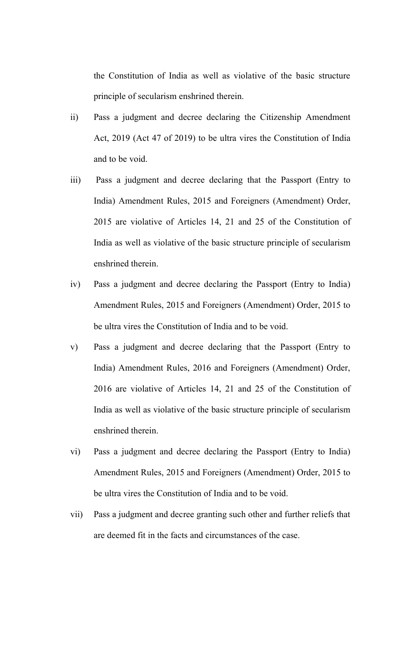the Constitution of India as well as violative of the basic structure principle of secularism enshrined therein.

- ii) Pass a judgment and decree declaring the Citizenship Amendment Act, 2019 (Act 47 of 2019) to be ultra vires the Constitution of India and to be void.
- iii) Pass a judgment and decree declaring that the Passport (Entry to India) Amendment Rules, 2015 and Foreigners (Amendment) Order, 2015 are violative of Articles 14, 21 and 25 of the Constitution of India as well as violative of the basic structure principle of secularism enshrined therein.
- iv) Pass a judgment and decree declaring the Passport (Entry to India) Amendment Rules, 2015 and Foreigners (Amendment) Order, 2015 to be ultra vires the Constitution of India and to be void.
- v) Pass a judgment and decree declaring that the Passport (Entry to India) Amendment Rules, 2016 and Foreigners (Amendment) Order, 2016 are violative of Articles 14, 21 and 25 of the Constitution of India as well as violative of the basic structure principle of secularism enshrined therein.
- vi) Pass a judgment and decree declaring the Passport (Entry to India) Amendment Rules, 2015 and Foreigners (Amendment) Order, 2015 to be ultra vires the Constitution of India and to be void.
- vii) Pass a judgment and decree granting such other and further reliefs that are deemed fit in the facts and circumstances of the case.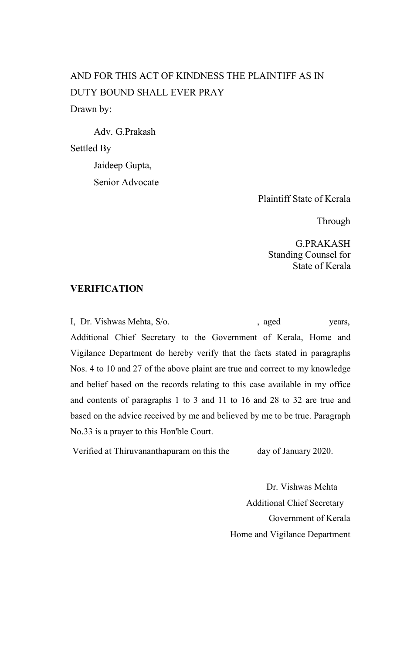# AND FOR THIS ACT OF KINDNESS THE PLAINTIFF AS IN DUTY BOUND SHALL EVER PRAY Drawn by:

Adv. G.Prakash Settled By Jaideep Gupta, Senior Advocate

Plaintiff State of Kerala

**Through** 

G.PRAKASH Standing Counsel for State of Kerala

#### **VERIFICATION**

I, Dr. Vishwas Mehta, S/o.  $\qquad \qquad$  , aged years, Additional Chief Secretary to the Government of Kerala, Home and Vigilance Department do hereby verify that the facts stated in paragraphs Nos. 4 to 10 and 27 of the above plaint are true and correct to my knowledge and belief based on the records relating to this case available in my office and contents of paragraphs 1 to 3 and 11 to 16 and 28 to 32 are true and based on the advice received by me and believed by me to be true. Paragraph No.33 is a prayer to this Hon'ble Court.

Verified at Thiruvananthapuram on this the day of January 2020.

Dr. Vishwas Mehta Additional Chief Secretary Government of Kerala Home and Vigilance Department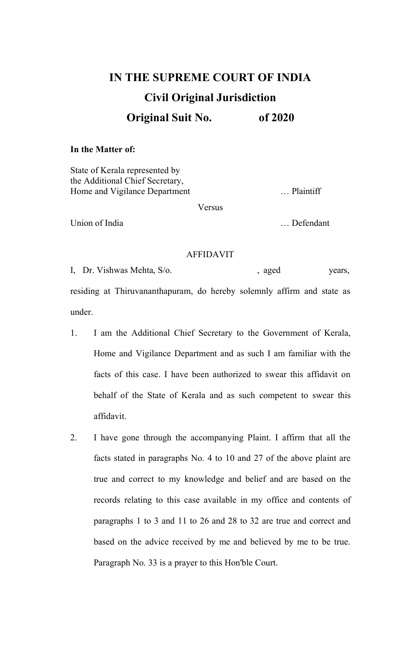# **IN THE SUPREME COURT OF INDIA Civil Original Jurisdiction Original Suit No. of 2020**

#### **In the Matter of:**

State of Kerala represented by the Additional Chief Secretary, Home and Vigilance Department ... Plaintiff

Versus

Union of India <br>
... Defendant

#### AFFIDAVIT

I, Dr. Vishwas Mehta, S/o. (aged years, residing at Thiruvananthapuram, do hereby solemnly affirm and state as under.

- 1. I am the Additional Chief Secretary to the Government of Kerala, Home and Vigilance Department and as such I am familiar with the facts of this case. I have been authorized to swear this affidavit on behalf of the State of Kerala and as such competent to swear this affidavit.
- 2. I have gone through the accompanying Plaint. I affirm that all the facts stated in paragraphs No. 4 to 10 and 27 of the above plaint are true and correct to my knowledge and belief and are based on the records relating to this case available in my office and contents of paragraphs 1 to 3 and 11 to 26 and 28 to 32 are true and correct and based on the advice received by me and believed by me to be true. Paragraph No. 33 is a prayer to this Hon'ble Court.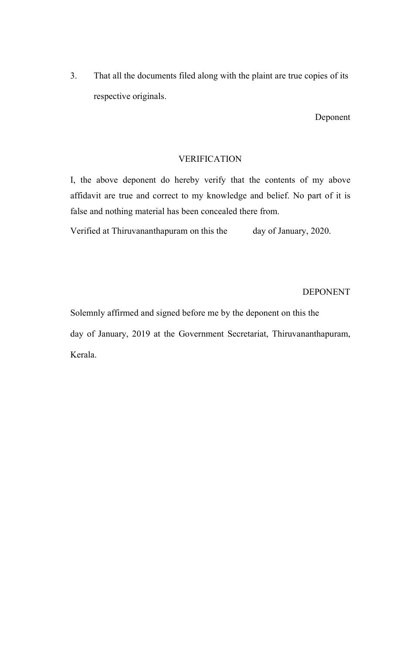3. That all the documents filed along with the plaint are true copies of its respective originals.

Deponent

#### VERIFICATION

I, the above deponent do hereby verify that the contents of my above affidavit are true and correct to my knowledge and belief. No part of it is false and nothing material has been concealed there from.

Verified at Thiruvananthapuram on this the day of January, 2020.

DEPONENT

Solemnly affirmed and signed before me by the deponent on this the day of January, 2019 at the Government Secretariat, Thiruvananthapuram, Kerala.